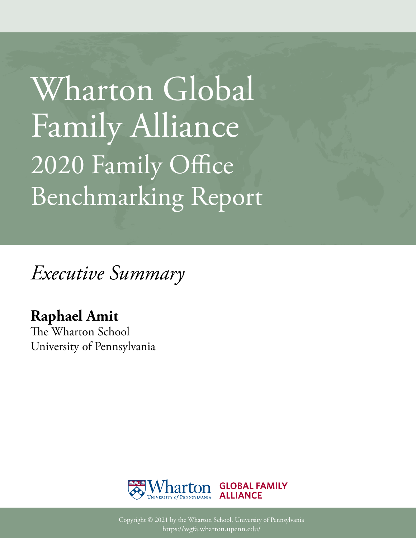Wharton Global Family Alliance 2020 Family Office Benchmarking Report

*Executive Summary*

## **Raphael Amit**

The Wharton School University of Pennsylvania



Copyright © 2021 by the Wharton School, University of Pennsylvania https://wgfa.wharton.upenn.edu/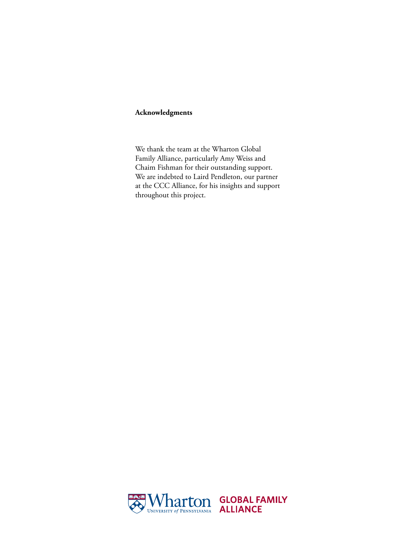#### **Acknowledgments**

We thank the team at the Wharton Global Family Alliance, particularly Amy Weiss and Chaim Fishman for their outstanding support. We are indebted to Laird Pendleton, our partner at the CCC Alliance, for his insights and support throughout this project.

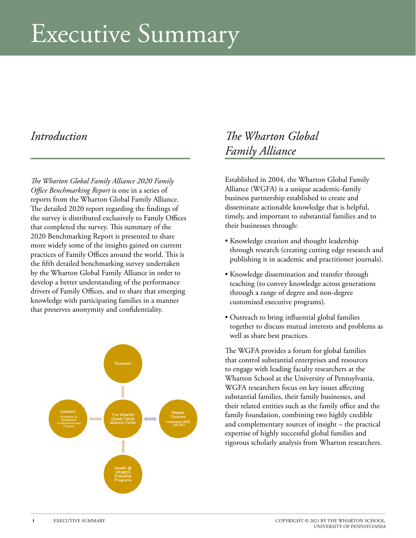# Executive Summary

### *Introduction*

*The Wharton Global Family Alliance 2020 Family Office Benchmarking Report* is one in a series of reports from the Wharton Global Family Alliance. The detailed 2020 report regarding the findings of the survey is distributed exclusively to Family Offices that completed the survey. This summary of the 2020 Benchmarking Report is presented to share more widely some of the insights gained on current practices of Family Offices around the world. This is the fifth detailed benchmarking survey undertaken by the Wharton Global Family Alliance in order to develop a better understanding of the performance drivers of Family Offices, and to share that emerging knowledge with participating families in a manner that preserves anonymity and confidentiality.



### *The Wharton Global Family Alliance*

Established in 2004, the Wharton Global Family Alliance (WGFA) is a unique academic-family business partnership established to create and disseminate actionable knowledge that is helpful, timely, and important to substantial families and to their businesses through:

- Knowledge creation and thought leadership through research (creating cutting edge research and publishing it in academic and practitioner journals).
- Knowledge dissemination and transfer through teaching (to convey knowledge across generations through a range of degree and non-degree customized executive programs).
- Outreach to bring influential global families together to discuss mutual interests and problems as well as share best practices.

The WGFA provides a forum for global families that control substantial enterprises and resources to engage with leading faculty researchers at the Wharton School at the University of Pennsylvania. WGFA researchers focus on key issues affecting substantial families, their family businesses, and their related entities such as the family office and the family foundation, combining two highly credible and complementary sources of insight – the practical expertise of highly successful global families and rigorous scholarly analysis from Wharton researchers.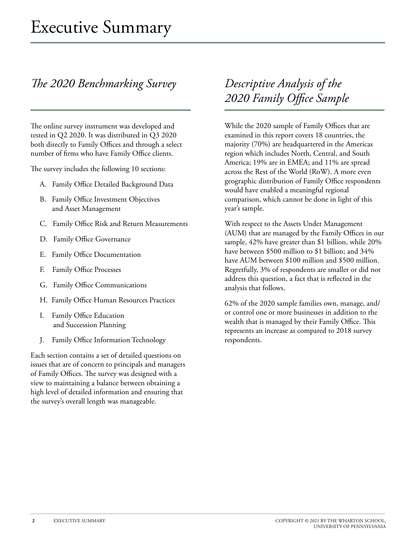### *The 2020 Benchmarking Survey*

The online survey instrument was developed and tested in Q2 2020. It was distributed in Q3 2020 both directly to Family Offices and through a select number of firms who have Family Office clients.

The survey includes the following 10 sections:

- A. Family Office Detailed Background Data
- B. Family Office Investment Objectives and Asset Management
- C. Family Office Risk and Return Measurements
- D. Family Office Governance
- E. Family Office Documentation
- F. Family Office Processes
- G. Family Office Communications
- H. Family Office Human Resources Practices
- I. Family Office Education and Succession Planning
- J. Family Office Information Technology

Each section contains a set of detailed questions on issues that are of concern to principals and managers of Family Offices. The survey was designed with a view to maintaining a balance between obtaining a high level of detailed information and ensuring that the survey's overall length was manageable.

### *Descriptive Analysis of the 2020 Family Office Sample*

While the 2020 sample of Family Offices that are examined in this report covers 18 countries, the majority (70%) are headquartered in the Americas region which includes North, Central, and South America; 19% are in EMEA; and 11% are spread across the Rest of the World (RoW). A more even geographic distribution of Family Office respondents would have enabled a meaningful regional comparison, which cannot be done in light of this year's sample.

With respect to the Assets Under Management (AUM) that are managed by the Family Offices in our sample, 42% have greater than \$1 billion, while 20% have between \$500 million to \$1 billion; and 34% have AUM between \$100 million and \$500 million. Regretfully, 3% of respondents are smaller or did not address this question, a fact that is reflected in the analysis that follows.

62% of the 2020 sample families own, manage, and/ or control one or more businesses in addition to the wealth that is managed by their Family Office. This represents an increase as compared to 2018 survey respondents.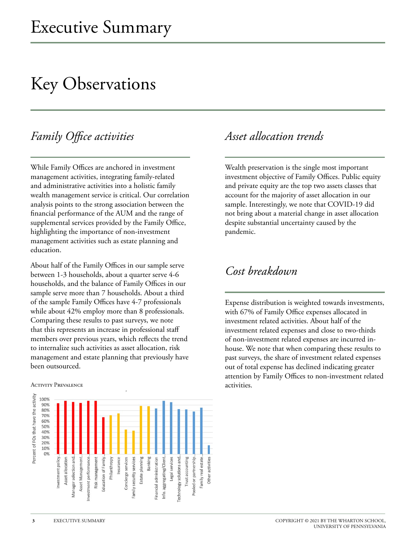# Key Observations

### *Family Office activities*

While Family Offices are anchored in investment management activities, integrating family-related and administrative activities into a holistic family wealth management service is critical. Our correlation analysis points to the strong association between the financial performance of the AUM and the range of supplemental services provided by the Family Office, highlighting the importance of non-investment management activities such as estate planning and education.

About half of the Family Offices in our sample serve between 1-3 households, about a quarter serve 4-6 households, and the balance of Family Offices in our sample serve more than 7 households. About a third of the sample Family Offices have 4-7 professionals while about 42% employ more than 8 professionals. Comparing these results to past surveys, we note that this represents an increase in professional staff members over previous years, which reflects the trend to internalize such activities as asset allocation, risk management and estate planning that previously have been outsourced.

#### Activity Prevalence



### *Asset allocation trends*

Wealth preservation is the single most important investment objective of Family Offices. Public equity and private equity are the top two assets classes that account for the majority of asset allocation in our sample. Interestingly, we note that COVID-19 did not bring about a material change in asset allocation despite substantial uncertainty caused by the pandemic.

### *Cost breakdown*

Expense distribution is weighted towards investments, with 67% of Family Office expenses allocated in investment related activities. About half of the investment related expenses and close to two-thirds of non-investment related expenses are incurred inhouse. We note that when comparing these results to past surveys, the share of investment related expenses out of total expense has declined indicating greater attention by Family Offices to non-investment related activities.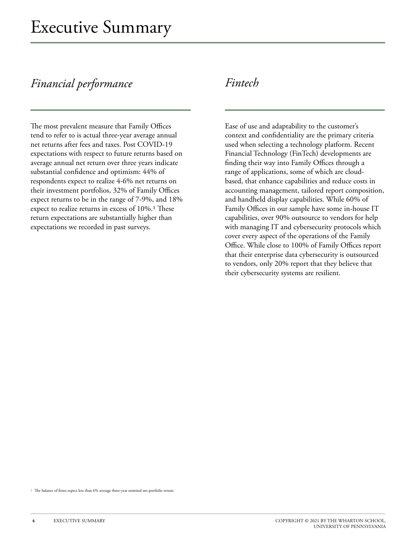### *Financial performance*

The most prevalent measure that Family Offices tend to refer to is actual three-year average annual net returns after fees and taxes. Post COVID-19 expectations with respect to future returns based on average annual net return over three years indicate substantial confidence and optimism: 44% of respondents expect to realize 4-6% net returns on their investment portfolios, 32% of Family Offices expect returns to be in the range of 7-9%, and 18% expect to realize returns in excess of 10%.1 These return expectations are substantially higher than expectations we recorded in past surveys.

### *Fintech*

Ease of use and adaptability to the customer's context and confidentiality are the primary criteria used when selecting a technology platform. Recent Financial Technology (FinTech) developments are finding their way into Family Offices through a range of applications, some of which are cloudbased, that enhance capabilities and reduce costs in accounting management, tailored report composition, and handheld display capabilities. While 60% of Family Offices in our sample have some in-house IT capabilities, over 90% outsource to vendors for help with managing IT and cybersecurity protocols which cover every aspect of the operations of the Family Office. While close to 100% of Family Offices report that their enterprise data cybersecurity is outsourced to vendors, only 20% report that they believe that their cybersecurity systems are resilient.

1 The balance of firms expect less than 6% average three-year nominal net portfolio return.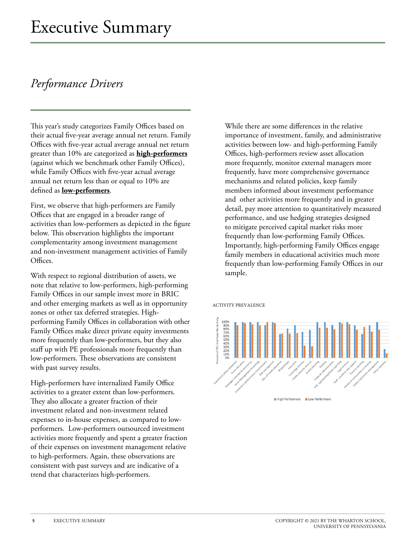### *Performance Drivers*

This year's study categorizes Family Offices based on their actual five-year average annual net return. Family Offices with five-year actual average annual net return greater than 10% are categorized as **high-performers** (against which we benchmark other Family Offices), while Family Offices with five-year actual average annual net return less than or equal to 10% are defined as **low-performers**.

First, we observe that high-performers are Family Offices that are engaged in a broader range of activities than low-performers as depicted in the figure below. This observation highlights the important complementarity among investment management and non-investment management activities of Family Offices.

With respect to regional distribution of assets, we note that relative to low-performers, high-performing Family Offices in our sample invest more in BRIC and other emerging markets as well as in opportunity zones or other tax deferred strategies. Highperforming Family Offices in collaboration with other Family Offices make direct private equity investments more frequently than low-performers, but they also staff up with PE professionals more frequently than low-performers. These observations are consistent with past survey results.

High-performers have internalized Family Office activities to a greater extent than low-performers. They also allocate a greater fraction of their investment related and non-investment related expenses to in-house expenses, as compared to lowperformers. Low-performers outsourced investment activities more frequently and spent a greater fraction of their expenses on investment management relative to high-performers. Again, these observations are consistent with past surveys and are indicative of a trend that characterizes high-performers.

While there are some differences in the relative importance of investment, family, and administrative activities between low- and high-performing Family Offices, high-performers review asset allocation more frequently, monitor external managers more frequently, have more comprehensive governance mechanisms and related policies, keep family members informed about investment performance and other activities more frequently and in greater detail, pay more attention to quantitatively measured performance, and use hedging strategies designed to mitigate perceived capital market risks more frequently than low-performing Family Offices. Importantly, high-performing Family Offices engage family members in educational activities much more frequently than low-performing Family Offices in our sample.

#### ACTIVITY PREVALENCE



High Performers Low Performers